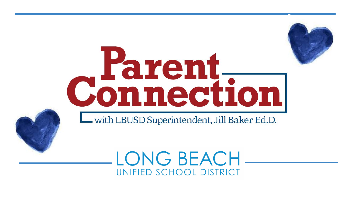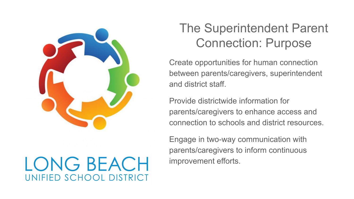

# LONG BEACH UNIFIED SCHOOL DISTRICT

## The Superintendent Parent Connection: Purpose

Create opportunities for human connection between parents/caregivers, superintendent and district staff.

Provide districtwide information for parents/caregivers to enhance access and connection to schools and district resources.

Engage in two-way communication with parents/caregivers to inform continuous improvement efforts.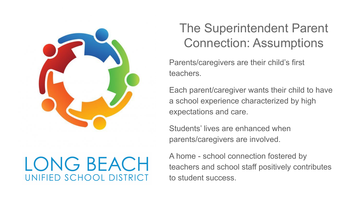

# LONG BEACH UNIFIED SCHOOL DISTRICT

## The Superintendent Parent Connection: Assumptions

Parents/caregivers are their child's first teachers.

Each parent/caregiver wants their child to have a school experience characterized by high expectations and care.

Students' lives are enhanced when parents/caregivers are involved.

A home - school connection fostered by teachers and school staff positively contributes to student success.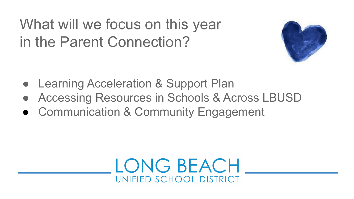# What will we focus on this year in the Parent Connection?



- Learning Acceleration & Support Plan
- Accessing Resources in Schools & Across LBUSD
- Communication & Community Engagement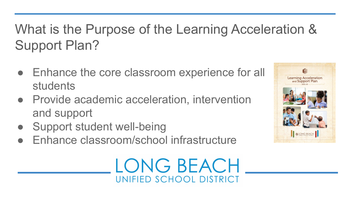# What is the Purpose of the Learning Acceleration & Support Plan?

- Enhance the core classroom experience for all students
- Provide academic acceleration, intervention and support
- **Support student well-being**
- Enhance classroom/school infrastructure



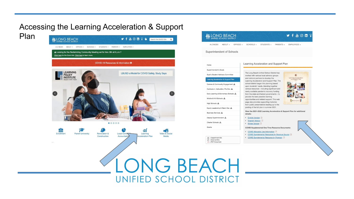### Accessing the Learning Acceleration & Support



#### **M** LONG BEACH

y f & O m T

A-ZINDEX ABOUT - OFFICES - SCHOOLS - STUDENTS - PARENTS - EMPLOYEES -

Superintendent of Schools

Home

#### Learning Acceleration and Support Plan

The Long Beach Unified School District has

Superintendent's Goals Supt's Student Advisory Committee

#### Learning Acceleration & Support Plan

Comms & Community Engagement & Curriculum, Instruction, Pro Dev & Early Learning & Elementary Schools & Middle & K-8 Schools  $\mathbf{d}\mathbf{h}$ High Schools & Equity Leadership & Talent Dev

Business Services

Deputy Superintendent & Charter Schools &

Grants

 $\mathbf{A}$  = Department Site  $C^*$  = External Site  $B = PDF$  Document

• Khmer Version

**COVID Supplemental One Time Resource Documents:** 

- 
- COVID Supplemental Resources by Revenue Source A
- 

worked with various local advisory groups and national partners to develop the Learning Acceleration and Support Plan. The school district began this planning based upon students' needs, blending together various resources - including significant and newly available pandemic recovery funding from the state and federal governments - to provide the best possible learning opportunities and related support. This web page also provides supporting materials from public presentations leading up to the posting of the full plan in summer 2021.

View the 2021-2022 Learning Acceleration & Support Plan for additional

#### • English Version

• Spanish Version

:alisteb

- COVID Allowable Use Information B
- COVID Supplemental Resource by Program [2]
- 

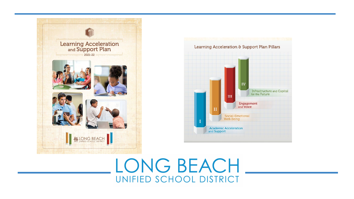

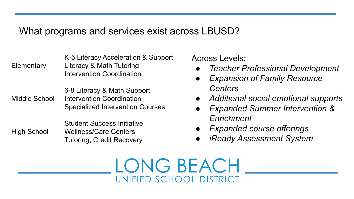### What programs and services exist across LBUSD?

K-5 Literacy Acceleration & Support Elementary Literacy & Math Tutoring Intervention Coordination

6-8 Literacy & Math Support Middle School Intervention Coordination Specialized Intervention Courses

Student Success Initiative High School Wellness/Care Centers Tutoring, Credit Recovery Across Levels:

- *● Teacher Professional Development*
- **Expansion of Family Resource** *Centers*
- *● Additional social emotional supports*
- *● Expanded Summer Intervention & Enrichment*
- *Expanded course offerings*
- *● iReady Assessment System*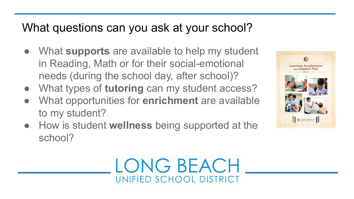## What questions can you ask at your school?

- What **supports** are available to help my student in Reading, Math or for their social-emotional needs (during the school day, after school)?
- What types of **tutoring** can my student access?
- What opportunities for **enrichment** are available to my student?
- How is student **wellness** being supported at the school?



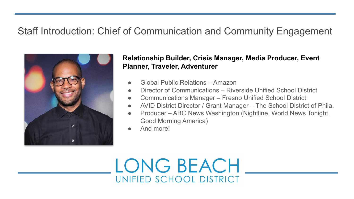### Staff Introduction: Chief of Communication and Community Engagement



### **Relationship Builder, Crisis Manager, Media Producer, Event Planner, Traveler, Adventurer**

- Global Public Relations Amazon
- Director of Communications Riverside Unified School District
- Communications Manager Fresno Unified School District
- AVID District Director / Grant Manager The School District of Phila.
- Producer ABC News Washington (Nightline, World News Tonight, Good Morning America)
- And more!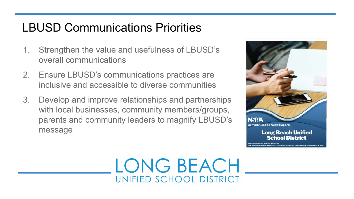## LBUSD Communications Priorities

- 1. Strengthen the value and usefulness of LBUSD's overall communications
- 2. Ensure LBUSD's communications practices are inclusive and accessible to diverse communities
- 3. Develop and improve relationships and partnerships with local businesses, community members/groups, parents and community leaders to magnify LBUSD's message